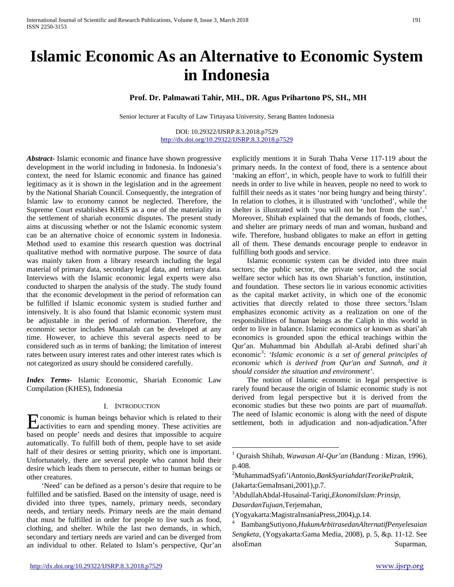# **Islamic Economic As an Alternative to Economic System in Indonesia**

**Prof. Dr. Palmawati Tahir, MH., DR. Agus Prihartono PS, SH., MH**

Senior lecturer at Faculty of Law Tirtayasa University, Serang Banten Indonesia

DOI: 10.29322/IJSRP.8.3.2018.p7529 <http://dx.doi.org/10.29322/IJSRP.8.3.2018.p7529>

*Abstract***-** Islamic economic and finance have shown progressive development in the world including in Indonesia. In Indonesia's context, the need for Islamic economic and finance has gained legitimacy as it is shown in the legislation and in the agreement by the National Shariah Council. Consequently, the integration of Islamic law to economy cannot be neglected. Therefore, the Supreme Court establishes KHES as a one of the materiality in the settlement of shariah economic disputes. The present study aims at discussing whether or not the Islamic economic system can be an alternative choice of economic system in Indonesia. Method used to examine this research question was doctrinal qualitative method with normative purpose. The source of data was mainly taken from a library research including the legal material of primary data, secondary legal data, and tertiary data. Interviews with the Islamic economic legal experts were also conducted to sharpen the analysis of the study. The study found that the economic development in the period of reformation can be fulfilled if Islamic economic system is studied further and intensively. It is also found that Islamic economic system must be adjustable in the period of reformation. Therefore, the economic sector includes Muamalah can be developed at any time. However, to achieve this several aspects need to be considered such as in terms of banking; the limitation of interest rates between usury interest rates and other interest rates which is not categorized as usury should be considered carefully.

*Index Terms*- Islamic Economic, Shariah Economic Law Compilation (KHES), Indonesia

#### I. INTRODUCTION

conomic is human beings behavior which is related to their **Exercise Exercise Exercise Secular Section** September 2016 is related to their activities to earn and spending money. These activities are based on people' needs and desires that impossible to acquire automatically. To fulfill both of them, people have to set aside half of their desires or setting priority, which one is important. Unfortunately, there are several people who cannot hold their desire which leads them to persecute, either to human beings or other creatures.

<span id="page-0-4"></span><span id="page-0-3"></span><span id="page-0-2"></span><span id="page-0-1"></span><span id="page-0-0"></span> 'Need' can be defined as a person's desire that require to be fulfilled and be satisfied. Based on the intensity of usage, need is divided into three types, namely, primary needs, secondary needs, and tertiary needs. Primary needs are the main demand that must be fulfilled in order for people to live such as food, clothing, and shelter. While the last two demands, in which, secondary and tertiary needs are varied and can be diverged from an individual to other. Related to Islam's perspective, Qur'an

In relation to clothes, it is illustrated with 'unclothed', while the shelter is illustrated with 'you will not be hot from the sun'.<sup>[1](#page-0-0)</sup> Moreover, Shihab explained that the demands of foods, clothes, and shelter are primary needs of man and woman, husband and wife. Therefore, husband obligates to make an effort in getting all of them. These demands encourage people to endeavor in fulfilling both goods and service. Islamic economic system can be divided into three main sectors; the public sector, the private sector, and the social welfare sector which has its own Shariah's function, institution, and foundation. These sectors lie in various economic activities as the capital market activity, in which one of the economic

activities that directly related to those three sectors.<sup>[2](#page-0-1)</sup>Islam emphasizes economic activity as a realization on one of the responsibilities of human beings as the Caliph in this world in order to live in balance. Islamic economics or known as shari'ah economics is grounded upon the ethical teachings within the Qur'an. Muhammad bin Abdullah al-Arabi defined shari'ah economic<sup>[3](#page-0-2)</sup>: 'Islamic economic is a set of general principles of *economic which is derived from Qur'an and Sunnah, and it should consider the situation and environment'*.

explicitly mentions it in Surah Thaha Verse 117-119 about the primary needs. In the context of food, there is a sentence about 'making an effort', in which, people have to work to fulfill their needs in order to live while in heaven, people no need to work to fulfill their needs as it states 'nor being hungry and being thirsty'.

 The notion of Islamic economic in legal perspective is rarely found because the origin of Islamic economic study is not derived from legal perspective but it is derived from the economic studies but these two points are part of *muamallah*. The need of Islamic economic is along with the need of dispute settlement, both in adjudication and non-adjudication.<sup>[4](#page-0-3)</sup>After

 <sup>1</sup> Quraish Shihab, *Wawasan Al-Qur'an* (Bandung : Mizan, 1996), p.408.

<sup>2</sup> MuhammadSyafi'iAntonio,*BankSyariahdariTeorikePraktik,* 

<sup>(</sup>Jakarta:GemaInsani,2001),p.7.

<sup>3</sup> AbdullahAbdal-Husainal-Tariqi,*EkonomiIslam:Prinsip,* 

*DasardanTujuan,*Terjemahan,

<sup>(</sup>Yogyakarta:MagistraInsaniaPress,2004),p.14. 4 BambangSutiyono,*HukumArbitrasedanAlternatifPenyelesaian Sengketa*, (Yogyakarta:Gama Media, 2008), p. 5, &p. 11-12. See alsoEman Suparman,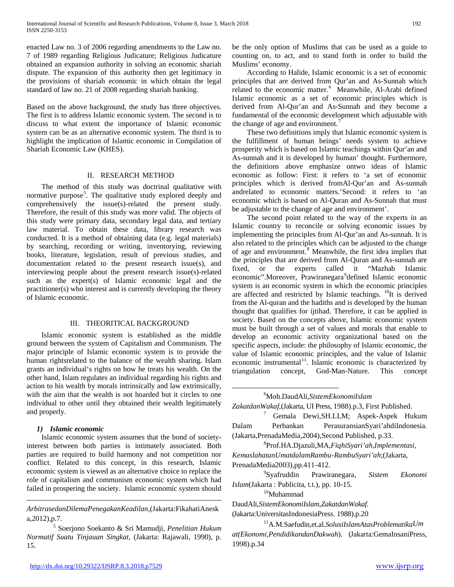enacted Law no. 3 of 2006 regarding amendments to the Law no. 7 of 1989 regarding Religious Judicature; Religious Judicature obtained an expansion authority in solving an economic shariah dispute. The expansion of this authority then get legitimacy in the provisions of shariah economic in which obtain the legal standard of law no. 21 of 2008 regarding shariah banking.

Based on the above background, the study has three objectives. The first is to address Islamic economic system. The second is to discuss to what extent the importance of Islamic economic system can be as an alternative economic system. The third is to highlight the implication of Islamic economic in Compilation of Shariah Economic Law (KHES).

#### II. RESEARCH METHOD

 The method of this study was doctrinal qualitative with normative purpose<sup>[5](#page-0-4)</sup>. The qualitative study explored deeply and comprehensively the issue(s)-related the present study. Therefore, the result of this study was more valid. The objects of this study were primary data, secondary legal data, and tertiary law material. To obtain these data, library research was conducted. It is a method of obtaining data (e.g. legal materials) by searching, recording or writing, inventorying, reviewing books, literature, legislation, result of previous studies, and documentation related to the present research issue(s), and interviewing people about the present research issue(s)-related such as the expert(s) of Islamic economic legal and the practitioner(s) who interest and is currently developing the theory of Islamic economic.

#### III. THEORITICAL BACKGROUND

 Islamic economic system is established as the middle ground between the system of Capitalism and Communism. The major principle of Islamic economic system is to provide the human rightsrelated to the balance of the wealth sharing. Islam grants an individual's rights on how he treats his wealth. On the other hand, Islam regulates an individual regarding his rights and action to his wealth by morals intrinsically and law extrinsically, with the aim that the wealth is not hoarded but it circles to one individual to other until they obtained their wealth legitimately and properly.

#### <span id="page-1-0"></span>*1) Islamic economic*

<span id="page-1-4"></span><span id="page-1-3"></span> $\overline{a}$ 

<span id="page-1-6"></span><span id="page-1-2"></span><span id="page-1-1"></span> Islamic economic system assumes that the bond of societyinterest between both parties is intimately associated. Both parties are required to build harmony and not competition nor conflict. Related to this concept, in this research, Islamic economic system is viewed as an alternative choice to replace the role of capitalism and communism economic system which had failed in prospering the society. Islamic economic system should

*ArbitrasedanDilemaPenegakanKeadilan*,(Jakarta:FikahatiAnesk a,2012),p.7.

<span id="page-1-5"></span><sup>5</sup> Soerjono Soekanto & Sri Mamudji, *Penelitian Hukum Normatif Suatu Tinjauan Singkat*, (Jakarta: Rajawali, 1990), p. 15.

be the only option of Muslims that can be used as a guide to counting on, to act, and to stand forth in order to build the Muslims' economy.

 According to Halide, Islamic economic is a set of economic principles that are derived from Qur'an and As-Sunnah which related to the economic matter.<sup>[6](#page-1-0)</sup> Meanwhile, Al-Arabi defined Islamic economic as a set of economic principles which is derived from Al-Qur'an and As-Sunnah and they become a fundamental of the economic development which adjustable with the change of age and environment.<sup>[7](#page-1-1)</sup>

 These two definitions imply that Islamic economic system is the fulfillment of human beings' needs system to achieve prosperity which is based on Islamic teachings within Qur'an and As-sunnah and it is developed by human' thought. Furthermore, the definitions above emphasize ontwo ideas of Islamic economic as follow: First: it refers to 'a set of economic principles which is derived fromAl-Qur'an and As-sunnah andrelated to economic matters.'Second: it refers to 'an economic which is based on Al-Quran and As-Sunnah that must be adjustable to the change of age and environment'.

 The second point related to the way of the experts in an Islamic country to reconcile or solving economic issues by implementing the principles from Al-Qur'an and As-sunnah. It is also related to the principles which can be adjusted to the change of age and environment.<sup>[8](#page-1-2)</sup> Meanwhile, the first idea implies that the principles that are derived from Al-Quran and As-sunnah are fixed, or the experts called it "Mazhab Islamic economic".Moreover, Prawiranegara<sup>[9](#page-1-3)</sup>defined Islamic economic system is an economic system in which the economic principles are affected and restricted by Islamic teachings.  $^{10}$ It is derived from the Al-quran and the hadiths and is developed by the human thought that qualifies for ijtihad. Therefore, it can be applied in society. Based on the concepts above, Islamic economic system must be built through a set of values and morals that enable to develop an economic activity organizational based on the specific aspects, include: the philosophy of Islamic economic, the value of Islamic economic principles, and the value of Islamic economic instrumental $11$ . Islamic economic is characterized by triangulation concept, God-Man-Nature. This concept

*ZakatdanWakaf*,(Jakarta, UI Press, 1988).p.3, First Published.

<sup>7</sup> Gemala Dewi,SH.LLM; Aspek-Aspek Hukum Dalam Perbankan PerasuransianSyari'ahdiIndonesia. (Jakarta,PrenadaMedia,2004),Second Published, p.33.

8 Prof.HA.Djazuli,MA,*FiqhiSyari'ah,Implementasi, KemaslahatanUmatdalamRambu-RambuSyari'ah*;(Jakarta, PrenadaMedia2003),pp.411-412.

<sup>9</sup>Syafruddin Prawiranegara, *Sistem Ekonomi Islam*(Jakarta : Publicita, t.t.), pp. 10-15.<br><sup>10</sup>Muhammad

DaudAli,*SistemEkonomiIslam,ZakatdanWakaf*.

(Jakarta:UniversitasIndonesiaPress. 1988).p.20 11A.M.Saefudin,et.al.*SolusiIslamAtasProblematikaUm at(Ekonomi,PendidikandanDakwah*). (Jakarta:GemaInsaniPress, 1998).p.34

 $\overline{6}$ Moh.DaudAli,*SistemEkonomiIslam*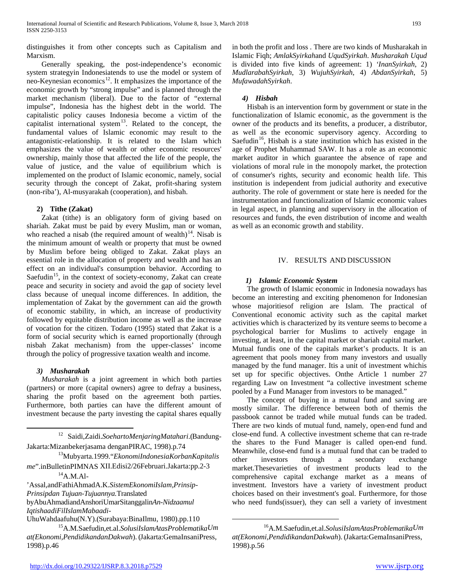distinguishes it from other concepts such as Capitalism and Marxism.

 Generally speaking, the post-independence's economic system strategyin Indonesiatends to use the model or system of neo-Keynesian economics $12$ . It emphasizes the importance of the economic growth by "strong impulse" and is planned through the market mechanism (liberal). Due to the factor of "external impulse", Indonesia has the highest debt in the world. The capitalistic policy causes Indonesia become a victim of the capitalist international system $13$ . Related to the concept, the fundamental values of Islamic economic may result to the antagonistic-relationship. It is related to the Islam which emphasizes the value of wealth or other economic resources' ownership, mainly those that affected the life of the people, the value of justice, and the value of equilibrium which is implemented on the product of Islamic economic, namely, social security through the concept of Zakat, profit-sharing system (non-riba'), Al-musyarakah (cooperation), and hisbah.

#### **2) Tithe (Zakat)**

 Zakat (tithe) is an obligatory form of giving based on shariah. Zakat must be paid by every Muslim, man or woman, who reached a nisab (the required amount of wealth)<sup>14</sup>. Nisab is the minimum amount of wealth or property that must be owned by Muslim before being obliged to Zakat. Zakat plays an essential role in the allocation of property and wealth and has an effect on an individual's consumption behavior. According to Saefudin<sup>15</sup>, in the context of society-economy, Zakat can create peace and security in society and avoid the gap of society level class because of unequal income differences. In addition, the implementation of Zakat by the government can aid the growth of economic stability, in which, an increase of productivity followed by equitable distribution income as well as the increase of vocation for the citizen. Todaro (1995) stated that Zakat is a form of social security which is earned proportionally (through nisbah Zakat mechanism) from the upper-classes' income through the policy of progressive taxation wealth and income.

# *3) Musharakah*

 *Musharakah* is a joint agreement in which both parties (partners) or more (capital owners) agree to defray a business, sharing the profit based on the agreement both parties. Furthermore, both parties can have the different amount of investment because the party investing the capital shares equally

12 Saidi,Zaidi.*SoehartoMenjaringMatahari*.(Bandung-

<span id="page-2-0"></span>Jakarta:Mizanbekerjasama denganPIRAC, 1998).p.74 13Mubyarta.1999."*EkonomiIndonesiaKorbanKapitalis me*".inBulletinPIMNAS XII.Edisi2/26Februari.Jakarta:pp.2-3<br><sup>14</sup>A.M.Al-

<span id="page-2-1"></span>'Assal,andFathiAhmadA.K.*SistemEkonomiIslam,Prinsip-Prinsipdan Tujuan-Tujuannya.*Translated

byAbuAhmadiandAnshoriUmarSitanggalin*An-Nidzaamul IqtishaadiFilIslamMabaadi*-

<span id="page-2-3"></span>UhuWahdaafuhu(N.Y).(Surabaya:BinaIlmu, 1980).pp.110

<span id="page-2-2"></span>15A.M.Saefudin,et.al.*SolusiIslamAtasProblematikaUm at(Ekonomi,PendidikandanDakwah*). (Jakarta:GemaInsaniPress, 1998).p.46

in both the profit and loss . There are two kinds of Musharakah in Islamic Fiqh; *AmlakSyirkah*and *UqudSyirkah*. *Musharakah Uqud* is divided into five kinds of agreement: 1) *'InanSyirkah*, 2) *MudlarabahSyirkah*, 3) *WujuhSyirkah*, 4) *AbdanSyirkah*, 5) *MufawadahSyirkah*.

# *4) Hisbah*

 Hisbah is an intervention form by government or state in the functionalization of Islamic economic, as the government is the owner of the products and its benefits, a producer, a distributor, as well as the economic supervisory agency. According to Saefudin<sup>16</sup>, Hisbah is a state institution which has existed in the age of Prophet Muhammad SAW. It has a role as an economic market auditor in which guarantee the absence of rape and violations of moral rule in the monopoly market, the protection of consumer's rights, security and economic health life. This institution is independent from judicial authority and executive authority. The role of government or state here is needed for the instrumentation and functionalization of Islamic economic values in legal aspect, in planning and supervisory in the allocation of resources and funds, the even distribution of income and wealth as well as an economic growth and stability.

# IV. RESULTS AND DISCUSSION

# *1) Islamic Economic System*

 The growth of Islamic economic in Indonesia nowadays has become an interesting and exciting phenomenon for Indonesian whose majoritiesof religion are Islam. The practical of Conventional economic activity such as the capital market activities which is characterized by its venture seems to become a psychological barrier for Muslims to actively engage in investing, at least, in the capital market or shariah capital market. Mutual fundis one of the capitals market's products. It is an agreement that pools money from many investors and usually managed by the fund manager. Itis a unit of investment whichis set up for specific objectives. Onthe Article 1 number 27 regarding Law on Investment "a collective investment scheme pooled by a Fund Manager from investors to be managed."

 The concept of buying in a mutual fund and saving are mostly similar. The difference between both of themis the passbook cannot be traded while mutual funds can be traded. There are two kinds of mutual fund, namely, open-end fund and close-end fund. A collective investment scheme that can re-trade the shares to the Fund Manager is called open-end fund. Meanwhile, close-end fund is a mutual fund that can be traded to other investors through a secondary exchange market.Thesevarieties of investment products lead to the comprehensive capital exchange market as a means of investment. Investors have a variety of investment product choices based on their investment's goal. Furthermore, for those who need funds(issuer), they can sell a variety of investment

 <sup>16</sup>A.M.Saefudin,et.al.*SolusiIslamAtasProblematikaUm at(Ekonomi,PendidikandanDakwah*). (Jakarta:GemaInsaniPress, 1998).p.56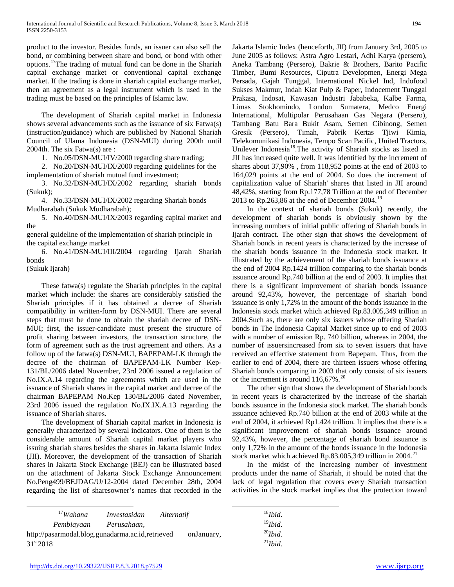product to the investor. Besides funds, an issuer can also sell the bond, or combining between share and bond, or bond with other options.[17T](#page-2-3)he trading of mutual fund can be done in the Shariah capital exchange market or conventional capital exchange market. If the trading is done in shariah capital exchange market, then an agreement as a legal instrument which is used in the trading must be based on the principles of Islamic law.

 The development of Shariah capital market in Indonesia shows several advancements such as the issuance of six Fatwa(s) (instruction/guidance) which are published by National Shariah Council of Ulama Indonesia (DSN-MUI) during 200th until 2004th. The six Fatwa(s) are :

1. No.05/DSN-MUI/IV/2000 regarding share trading;

 2. No.20/DSN-MUI/IX/2000 regarding guidelines for the implementation of shariah mutual fund investment;

 3. No.32/DSN-MUI/IX/2002 regarding shariah bonds (Sukuk);

 4. No.33/DSN-MUI/IX/2002 regarding Shariah bonds Mudharabah (Sukuk Mudharabah);

 5. No.40/DSN-MUI/IX/2003 regarding capital market and the

general guideline of the implementation of shariah principle in the capital exchange market

 6. No.41/DSN-MUI/III/2004 regarding Ijarah Shariah bonds

(Sukuk Ijarah)

 These fatwa(s) regulate the Shariah principles in the capital market which include: the shares are considerably satisfied the Shariah principles if it has obtained a decree of Shariah compatibility in written-form by DSN-MUI. There are several steps that must be done to obtain the shariah decree of DSN-MUI; first, the issuer-candidate must present the structure of profit sharing between investors, the transaction structure, the form of agreement such as the trust agreement and others. As a follow up of the fatwa(s) DSN-MUI, BAPEPAM-LK through the decree of the chairman of BAPEPAM-LK Number Kep-131/BL/2006 dated November, 23rd 2006 issued a regulation of No.IX.A.14 regarding the agreements which are used in the issuance of Shariah shares in the capital market and decree of the chairman BAPEPAM No.Kep 130/BL/2006 dated November, 23rd 2006 issued the regulation No.IX.IX.A.13 regarding the issuance of Shariah shares.

 The development of Shariah capital market in Indonesia is generally characterized by several indicators. One of them is the considerable amount of Shariah capital market players who issuing shariah shares besides the shares in Jakarta Islamic Index (JII). Moreover, the development of the transaction of Shariah shares in Jakarta Stock Exchange (BEJ) can be illustrated based on the attachment of Jakarta Stock Exchange Announcement No.Peng499/BEJDAG/U/12-2004 dated December 28th, 2004 regarding the list of sharesowner's names that recorded in the

<span id="page-3-4"></span><span id="page-3-0"></span>

| $17$ Wahana                                      | Investasidan | Alternatif |            |
|--------------------------------------------------|--------------|------------|------------|
| Pembiayaan                                       | Perusahaan,  |            |            |
| http://pasarmodal.blog.gunadarma.ac.id,retrieved |              |            | onJanuary, |

<span id="page-3-3"></span><span id="page-3-2"></span><span id="page-3-1"></span>31<sup>st</sup>2018

Jakarta Islamic Index (henceforth, JII) from January 3rd, 2005 to June 2005 as follows: Astra Agro Lestari, Adhi Karya (persero), Aneka Tambang (Persero), Bakrie & Brothers, Barito Pacific Timber, Bumi Resources, Ciputra Developmen, Energi Mega Persada, Gajah Tunggal, International Nickel Ind, Indofood Sukses Makmur, Indah Kiat Pulp & Paper, Indocement Tunggal Prakasa, Indosat, Kawasan Industri Jababeka, Kalbe Farma, Limas Stokhomindo, London Sumatera, Medco Energi International, Multipolar Perusahaan Gas Negara (Persero), Tambang Batu Bara Bukit Asam, Semen Cibinong, Semen Gresik (Persero), Timah, Pabrik Kertas Tjiwi Kimia, Telekomunikasi Indonesia, Tempo Scan Pacific, United Tractors, Unilever Indonesia<sup>[18](#page-3-0)</sup>.The activity of Shariah stocks as listed in JII has increased quite well. It was identified by the increment of shares about 37,90% , from 118,952 points at the end of 2003 to 164,029 points at the end of 2004. So does the increment of capitalization value of Shariah' shares that listed in JII around 48,42%, starting from Rp.177,78 Trillion at the end of December 2013 to Rp.263,86 at the end of December 2004.<sup>[19](#page-3-1)</sup>

 In the context of shariah bonds (Sukuk) recently, the development of shariah bonds is obviously shown by the increasing numbers of initial public offering of Shariah bonds in Ijarah contract. The other sign that shows the development of Shariah bonds in recent years is characterized by the increase of the shariah bonds issuance in the Indonesia stock market. It illustrated by the achievement of the shariah bonds issuance at the end of 2004 Rp.1424 trillion comparing to the shariah bonds issuance around Rp.740 billion at the end of 2003. It implies that there is a significant improvement of shariah bonds issuance around 92,43%, however, the percentage of shariah bond issuance is only 1,72% in the amount of the bonds issuance in the Indonesia stock market which achieved Rp.83.005,349 trillion in 2004.Such as, there are only six issuers whose offering Shariah bonds in The Indonesia Capital Market since up to end of 2003 with a number of emission Rp. 740 billion, whereas in 2004, the number of issuersincreased from six to seven issuers that have received an effective statement from Bapepam. Thus, from the earlier to end of 2004, there are thirteen issuers whose offering Shariah bonds comparing in 2003 that only consist of six issuers or the increment is around  $116,67\%$ .<sup>[20](#page-3-2)</sup>

 The other sign that shows the development of Shariah bonds in recent years is characterized by the increase of the shariah bonds issuance in the Indonesia stock market. The shariah bonds issuance achieved Rp.740 billion at the end of 2003 while at the end of 2004, it achieved Rp1.424 trillion. It implies that there is a significant improvement of shariah bonds issuance around 92,43%, however, the percentage of shariah bond issuance is only 1,72% in the amount of the bonds issuance in the Indonesia stock market which achieved Rp.83.005,349 trillion in 2004.<sup>[21](#page-3-3)</sup>

 In the midst of the increasing number of investment products under the name of Shariah, it should be noted that the lack of legal regulation that covers every Shariah transaction activities in the stock market implies that the protection toward

| $18$ <i>Ibid.</i>    |
|----------------------|
| $19$ Ibid.           |
| $^{20}$ <i>Ibid.</i> |
| $^{21}$ <i>Ibid.</i> |
|                      |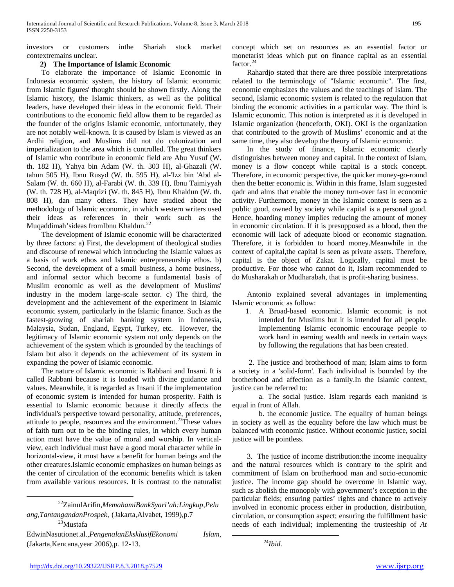investors or customers inthe Shariah stock market contextremains unclear.

#### **2) The Importance of Islamic Economic**

 To elaborate the importance of Islamic Economic in Indonesia economic system, the history of Islamic economic from Islamic figures' thought should be shown firstly. Along the Islamic history, the Islamic thinkers, as well as the political leaders, have developed their ideas in the economic field. Their contributions to the economic field allow them to be regarded as the founder of the origins Islamic economic, unfortunately, they are not notably well-known. It is caused by Islam is viewed as an Ardhi religion, and Muslims did not do colonization and imperialization to the area which is controlled. The great thinkers of Islamic who contribute in economic field are Abu Yusuf (W. th. 182 H), Yahya bin Adam (W. th. 303 H), al-Ghazali (W. tahun 505 H), Ibnu Rusyd (W. th. 595 H), al-'Izz bin 'Abd al-Salam (W. th. 660 H), al-Farabi (W. th. 339 H), Ibnu Taimiyyah (W. th. 728 H), al-Maqrizi (W. th. 845 H), Ibnu Khaldun (W. th. 808 H), dan many others. They have studied about the methodology of Islamic economic, in which western writers used their ideas as references in their work such as the Muqaddimah'sideas fromIbnu Khaldun.<sup>[22](#page-3-4)</sup>

 The development of Islamic economic will be characterized by three factors: a) First, the development of theological studies and discourse of renewal which introducing the Islamic values as a basis of work ethos and Islamic entrepreneurship ethos. b) Second, the development of a small business, a home business, and informal sector which become a fundamental basis of Muslim economic as well as the development of Muslims' industry in the modern large-scale sector. c) The third, the development and the achievement of the experiment in Islamic economic system, particularly in the Islamic finance. Such as the fastest-growing of shariah banking system in Indonesia, Malaysia, Sudan, England, Egypt, Turkey, etc. However, the legitimacy of Islamic economic system not only depends on the achievement of the system which is grounded by the teachings of Islam but also it depends on the achievement of its system in expanding the power of Islamic economic.

 The nature of Islamic economic is Rabbani and Insani. It is called Rabbani because it is loaded with divine guidance and values. Meanwhile, it is regarded as Insani if the implementation of economic system is intended for human prosperity. Faith is essential to Islamic economic because it directly affects the individual's perspective toward personality, attitude, preferences, attitude to people, resources and the environment.<sup>[23](#page-4-0)</sup>These values of faith turn out to be the binding rules, in which every human action must have the value of moral and worship. In verticalview, each individual must have a good moral character while in horizontal-view, it must have a benefit for human beings and the other creatures.Islamic economic emphasizes on human beings as the center of circulation of the economic benefits which is taken from available various resources. It is contrast to the naturalist

concept which set on resources as an essential factor or monetarist ideas which put on finance capital as an essential factor. $^{24}$  $^{24}$  $^{24}$ 

 Rahardjo stated that there are three possible interpretations related to the terminology of "Islamic economic". The first, economic emphasizes the values and the teachings of Islam. The second, Islamic economic system is related to the regulation that binding the economic activities in a particular way. The third is Islamic economic. This notion is interpreted as it is developed in Islamic organization (henceforth, OKI). OKI is the organization that contributed to the growth of Muslims' economic and at the same time, they also develop the theory of Islamic economic.

 In the study of finance, Islamic economic clearly distinguishes between money and capital. In the context of Islam, money is a flow concept while capital is a stock concept. Therefore, in economic perspective, the quicker money-go-round then the better economic is. Within in this frame, Islam suggested qadr and alms that enable the money turn-over fast in economic activity. Furthermore, money in the Islamic context is seen as a public good, owned by society while capital is a personal good. Hence, hoarding money implies reducing the amount of money in economic circulation. If it is presupposed as a blood, then the economic will lack of adequate blood or economic stagnation. Therefore, it is forbidden to hoard money.Meanwhile in the context of capital,the capital is seen as private assets. Therefore, capital is the object of Zakat. Logically, capital must be productive. For those who cannot do it, Islam recommended to do Musharakah or Mudharabah, that is profit-sharing business.

 Antonio explained several advantages in implementing Islamic economic as follow:

1. A Broad-based economic. Islamic economic is not intended for Muslims but it is intended for all people. Implementing Islamic economic encourage people to work hard in earning wealth and needs in certain ways by following the regulations that has been created.

 2. The justice and brotherhood of man; Islam aims to form a society in a 'solid-form'. Each individual is bounded by the brotherhood and affection as a family.In the Islamic context, justice can be referred to:

a. The social justice. Islam regards each mankind is equal in front of Allah.

b. the economic justice. The equality of human beings in society as well as the equality before the law which must be balanced with economic justice. Without economic justice, social justice will be pointless.

 3. The justice of income distribution:the income inequality and the natural resources which is contrary to the spirit and commitment of Islam on brotherhood man and socio-economic justice. The income gap should be overcome in Islamic way, such as abolish the monopoly with government's exception in the particular fields; ensuring parties' rights and chance to actively involved in economic process either in production, distribution, circulation, or consumption aspect; ensuring the fulfillment basic needs of each individual; implementing the trusteeship of *At* 

 <sup>22</sup>ZainulArifin,*MemahamiBankSyari'ah:Lingkup,Pelu* ang,TantangandanProspek, (Jakarta,Alvabet, 1999),p.7<br><sup>23</sup>Mustafa

<span id="page-4-1"></span><span id="page-4-0"></span>EdwinNasutionet.al.,*PengenalanEksklusifEkonomi Islam*, (Jakarta,Kencana,year 2006),p. 12-13.

 <sup>24</sup>*Ibid*.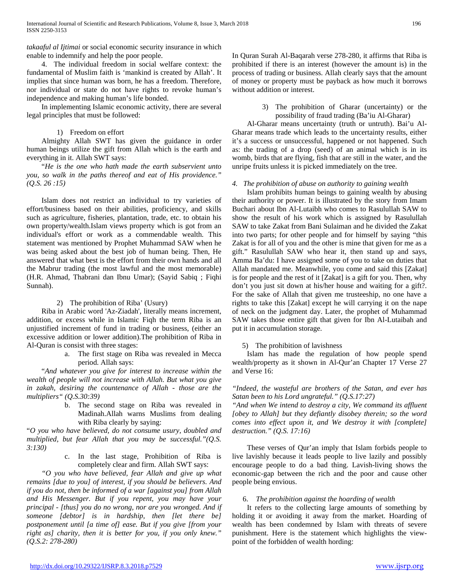*takaaful al Ijtimai* or social economic security insurance in which enable to indemnify and help the poor people.

 4. The individual freedom in social welfare context: the fundamental of Muslim faith is 'mankind is created by Allah'. It implies that since human was born, he has a freedom. Therefore, nor individual or state do not have rights to revoke human's independence and making human's life bonded.

 In implementing Islamic economic activity, there are several legal principles that must be followed:

#### 1) Freedom on effort

 Almighty Allah SWT has given the guidance in order human beings utilize the gift from Allah which is the earth and everything in it. Allah SWT says:

 "*He is the one who hath made the earth subservient unto you, so walk in the paths thereof and eat of His providence." (Q.S. 26 :15)*

 Islam does not restrict an individual to try varieties of effort/business based on their abilities, proficiency, and skills such as agriculture, fisheries, plantation, trade, etc. to obtain his own property/wealth.Islam views property which is got from an individual's effort or work as a commendable wealth. This statement was mentioned by Prophet Muhammad SAW when he was being asked about the best job of human being. Then, He answered that what best is the effort from their own hands and all the Mabrur trading (the most lawful and the most memorable) (H.R. Ahmad, Thabrani dan Ibnu Umar); (Sayid Sabiq ; Fiqhi Sunnah).

# 2) The prohibition of Riba' (Usury)

 Riba in Arabic word 'Az-Ziadah', literally means increment, addition, or excess while in Islamic Fiqh the term Riba is an unjustified increment of fund in trading or business, (either an excessive addition or lower addition).The prohibition of Riba in Al-Quran is consist with three stages:

> a. The first stage on Riba was revealed in Mecca period. Allah says:

 "*And whatever you give for interest to increase within the wealth of people will not increase with Allah. But what you give in zakah, desiring the countenance of Allah - those are the multipliers" (Q.S.30:39)*

> b. The second stage on Riba was revealed in Madinah.Allah warns Muslims from dealing with Riba clearly by saying:

"*O you who have believed, do not consume usury, doubled and multiplied, but fear Allah that you may be successful."(Q.S. 3:130)*

> c. In the last stage, Prohibition of Riba is completely clear and firm. Allah SWT says:

 *"O you who have believed, fear Allah and give up what remains [due to you] of interest, if you should be believers. And if you do not, then be informed of a war [against you] from Allah and His Messenger. But if you repent, you may have your principal - [thus] you do no wrong, nor are you wronged. And if someone [debtor] is in hardship, then [let there be] postponement until [a time of] ease. But if you give [from your right as] charity, then it is better for you, if you only knew." (Q.S.2: 278-280)*

In Quran Surah Al-Baqarah verse 278-280, it affirms that Riba is prohibited if there is an interest (however the amount is) in the process of trading or business. Allah clearly says that the amount of money or property must be payback as how much it borrows without addition or interest.

> 3) The prohibition of Gharar (uncertainty) or the possibility of fraud trading (Ba'iu Al-Gharar)

 Al-Gharar means uncertainty (truth or untruth). Bai'u Al-Gharar means trade which leads to the uncertainty results, either it's a success or unsuccessful, happened or not happened. Such as: the trading of a drop (seed) of an animal which is in its womb, birds that are flying, fish that are still in the water, and the unripe fruits unless it is picked immediately on the tree.

# *4. The prohibition of abuse on authority to gaining wealth*

 Islam prohibits human beings to gaining wealth by abusing their authority or power. It is illustrated by the story from Imam Buchari about Ibn Al-Lutaibh who comes to Rasulullah SAW to show the result of his work which is assigned by Rasulullah SAW to take Zakat from Bani Sulaiman and he divided the Zakat into two parts; for other people and for himself by saying "this Zakat is for all of you and the other is mine that given for me as a gift." Rasulullah SAW who hear it, then stand up and says, Amma Ba'du: I have assigned some of you to take on duties that Allah mandated me. Meanwhile, you come and said this [Zakat] is for people and the rest of it [Zakat] is a gift for you. Then, why don't you just sit down at his/her house and waiting for a gift?. For the sake of Allah that given me trusteeship, no one have a rights to take this [Zakat] except he will carrying it on the nape of neck on the judgment day. Later, the prophet of Muhammad SAW takes those entire gift that given for Ibn Al-Lutaibah and put it in accumulation storage.

5) The prohibition of lavishness

 Islam has made the regulation of how people spend wealth/property as it shown in Al-Qur'an Chapter 17 Verse 27 and Verse 16:

*"Indeed, the wasteful are brothers of the Satan, and ever has Satan been to his Lord ungrateful." (Q.S.17:27)*

*"And when We intend to destroy a city, We command its affluent [obey to Allah] but they defiantly disobey therein; so the word comes into effect upon it, and We destroy it with [complete] destruction." (Q.S. 17:16)*

 These verses of Qur'an imply that Islam forbids people to live lavishly because it leads people to live lazily and possibly encourage people to do a bad thing. Lavish-living shows the economic-gap between the rich and the poor and cause other people being envious.

# 6. *The prohibition against the hoarding of wealth*

 It refers to the collecting large amounts of something by holding it or avoiding it away from the market. Hoarding of wealth has been condemned by Islam with threats of severe punishment. Here is the statement which highlights the viewpoint of the forbidden of wealth hording: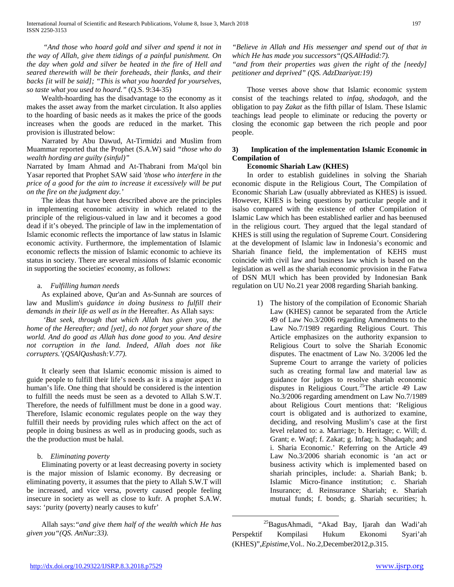*"And those who hoard gold and silver and spend it not in the way of Allah, give them tidings of a painful punishment. On the day when gold and silver be heated in the fire of Hell and seared therewith will be their foreheads, their flanks, and their backs [it will be said]; "This is what you hoarded for yourselves, so taste what you used to hoard."* (Q.S. 9:34-35)

 Wealth-hoarding has the disadvantage to the economy as it makes the asset away from the market circulation. It also applies to the hoarding of basic needs as it makes the price of the goods increases when the goods are reduced in the market. This provision is illustrated below:

 Narrated by Abu Dawud, At-Tirmidzi and Muslim from Muammar reported that the Prophet (S.A.W) said *"those who do wealth hording are guilty (sinful)"*

Narrated by Imam Ahmad and At-Thabrani from Ma'qol bin Yasar reported that Prophet SAW said *'those who interfere in the price of a good for the aim to increase it excessively will be put on the fire on the judgment day.'*

 The ideas that have been described above are the principles in implementing economic activity in which related to the principle of the religious-valued in law and it becomes a good dead if it's obeyed. The principle of law in the implementation of Islamic economic reflects the importance of law status in Islamic economic activity. Furthermore, the implementation of Islamic economic reflects the mission of Islamic economic to achieve its status in society. There are several missions of Islamic economic in supporting the societies' economy, as follows:

#### a. *Fulfilling human needs*

 As explained above, Qur'an and As-Sunnah are sources of law and Muslim's *guidance in doing business to fulfill their demands in their life as well as in the* Hereafter. As Allah says:

 *'But seek, through that which Allah has given you, the home of the Hereafter; and [yet], do not forget your share of the world. And do good as Allah has done good to you. And desire not corruption in the land. Indeed, Allah does not like corrupters.'(QSAlQashash:V.77).*

<span id="page-6-0"></span> It clearly seen that Islamic economic mission is aimed to guide people to fulfill their life's needs as it is a major aspect in human's life. One thing that should be considered is the intention to fulfill the needs must be seen as a devoted to Allah S.W.T. Therefore, the needs of fulfillment must be done in a good way. Therefore, Islamic economic regulates people on the way they fulfill their needs by providing rules which affect on the act of people in doing business as well as in producing goods, such as the the production must be halal.

# b. *Eliminating poverty*

 Eliminating poverty or at least decreasing poverty in society is the major mission of Islamic economy. By decreasing or eliminating poverty, it assumes that the piety to Allah S.W.T will be increased, and vice versa, poverty caused people feeling insecure in society as well as close to kufr. A prophet S.A.W. says: 'purity (poverty) nearly causes to kufr'

 Allah says:*"and give them half of the wealth which He has given you"(QS. AnNur:33).*

*"Believe in Allah and His messenger and spend out of that in which He has made you successors"(QS.AlHadid:7).*

*"and from their properties was given the right of the [needy] petitioner and deprived" (QS. AdzDzariyat:19)*

 Those verses above show that Islamic economic system consist of the teachings related to *infaq, shodaqoh*, and the obligation to pay *Zakat* as the fifth pillar of Islam. These Islamic teachings lead people to eliminate or reducing the poverty or closing the economic gap between the rich people and poor people.

# **3) Implication of the implementation Islamic Economic in Compilation of**

#### **Economic Shariah Law (KHES)**

 In order to establish guidelines in solving the Shariah economic dispute in the Religious Court, The Compilation of Economic Shariah Law (usually abbreviated as KHES) is issued. However, KHES is being questions by particular people and it isalso compared with the existence of other Compilation of Islamic Law which has been established earlier and has beenused in the religious court. They argued that the legal standard of KHES is still using the regulation of Supreme Court. Considering at the development of Islamic law in Indonesia's economic and Shariah finance field, the implementation of KEHS must coincide with civil law and business law which is based on the legislation as well as the shariah economic provision in the Fatwa of DSN MUI which has been provided by Indonesian Bank regulation on UU No.21 year 2008 regarding Shariah banking.

> 1) The history of the compilation of Economic Shariah Law (KHES) cannot be separated from the Article 49 of Law No.3/2006 regarding Amendments to the Law No.7/1989 regarding Religious Court. This Article emphasizes on the authority expansion to Religious Court to solve the Shariah Economic disputes. The enactment of Law No. 3/2006 led the Supreme Court to arrange the variety of policies such as creating formal law and material law as guidance for judges to resolve shariah economic disputes in Religious Court.<sup>25</sup>The article 49 Law No.3/2006 regarding amendment on Law No.7/1989 about Religious Court mentions that: 'Religious court is obligated and is authorized to examine, deciding, and resolving Muslim's case at the first level related to: a. Marriage; b. Heritage; c. Will; d. Grant; e. Waqf; f. Zakat; g. Infaq; h. Shadaqah; and i. Sharia Economic.' Referring on the Article 49 Law No.3/2006 shariah economic is 'an act or business activity which is implemented based on shariah principles, include: a. Shariah Bank; b. Islamic Micro-finance institution; c. Shariah Insurance; d. Reinsurance Shariah; e. Shariah mutual funds; f. bonds; g. Shariah securities; h.

<sup>&</sup>lt;sup>25</sup>BagusAhmadi, "Akad Bay, Ijarah dan Wadi'ah Perspektif Kompilasi Hukum Ekonomi Syari'ah (KHES)",*Epistime*,Vol.. No.2,December2012,p.315.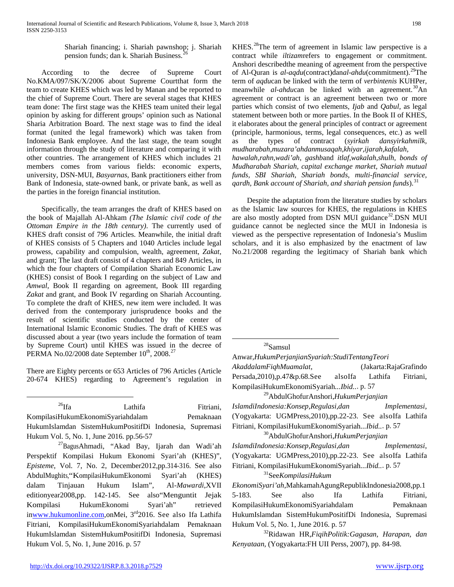Shariah financing; i. Shariah pawnshop; j. Shariah pension funds; dan k. Shariah Business. [26](#page-6-0)

 According to the decree of Supreme Court No.KMA/097/SK/X/2006 about Supreme Courtthat form the team to create KHES which was led by Manan and be reported to the chief of Supreme Court. There are several stages that KHES team done: The first stage was the KHES team united their legal opinion by asking for different groups' opinion such as National Sharia Arbitration Board. The next stage was to find the ideal format (united the legal framework) which was taken from Indonesia Bank employee. And the last stage, the team sought information through the study of literature and comparing it with other countries. The arrangement of KHES which includes 21 members comes from various fields: economic experts, university, DSN-MUI, *Basyarnas*, Bank practitioners either from Bank of Indonesia, state-owned bank, or private bank, as well as the parties in the foreign financial institution.

<span id="page-7-6"></span> Specifically, the team arranges the draft of KHES based on the book of Majallah Al-Ahkam *(The Islamic civil code of the Ottoman Empire in the 18th century)*. The currently used of KHES draft consist of 796 Articles. Meanwhile, the initial draft of KHES consists of 5 Chapters and 1040 Articles include legal prowess, capability and compulsion, wealth, agreement, *Zakat*, and grant; The last draft consist of 4 chapters and 849 Articles, in which the four chapters of Compilation Shariah Economic Law (KHES) consist of Book I regarding on the subject of Law and *Amwal,* Book II regarding on agreement, Book III regarding *Zakat* and grant, and Book IV regarding on Shariah Accounting. To complete the draft of KHES, new item were included. It was derived from the contemporary jurisprudence books and the result of scientific studies conducted by the center of International Islamic Economic Studies. The draft of KHES was discussed about a year (two years include the formation of team by Supreme Court) until KHES was issued in the decree of PERMA No.02/2008 date September  $10^{th}$ , 2008.<sup>27</sup>

<span id="page-7-1"></span>There are Eighty percents or 653 Articles of 796 Articles (Article 20-674 KHES) regarding to Agreement's regulation in

<span id="page-7-2"></span><sup>26</sup>Ifa Lathifa Fitriani, KompilasiHukumEkonomiSyariahdalam Pemaknaan HukumIslamdan SistemHukumPositifDi Indonesia, Supremasi Hukum Vol. 5, No. 1, June 2016. pp.56-57 27BagusAhmadi, "Akad Bay, Ijarah dan Wadi'ah

<span id="page-7-5"></span><span id="page-7-4"></span><span id="page-7-3"></span><span id="page-7-0"></span>Perspektif Kompilasi Hukum Ekonomi Syari'ah (KHES)", *Episteme*, Vol. 7, No. 2, December2012,pp.314-316. See also AbdulMughits,"KompilasiHukumEkonomi Syari'ah (KHES) dalam Tinjauan Hukum Islam", Al-*Mawardi*,XVII editionyear2008,pp. 142-145. See also"Menguntit Jejak Kompilasi HukumEkonomi Syari'ah" retrieved i[nwww.hukumonline.com,o](http://www.hukumonline.com/)nMei, 3rd2016. See also Ifa Lathifa Fitriani, KompilasiHukumEkonomiSyariahdalam Pemaknaan HukumIslamdan SistemHukumPositifDi Indonesia, Supremasi Hukum Vol. 5, No. 1, June 2016. p. 57

KHES.<sup>28</sup>The term of agreement in Islamic law perspective is a contract while *iltizam*refers to engagement or commitment. Anshori describedthe meaning of agreement from the perspective of Al-Quran is *al-aqdu*(contract)dan*al-ahdu*(commitment).[29](#page-7-2)The term of *aqdu*can be linked with the term of *verbintenis* KUHPer, meanwhile *al-ahdu*can be linked with an agreement. [30A](#page-7-3)n agreement or contract is an agreement between two or more parties which consist of two elements, *Ijab* and *Qabul,* as legal statement between both or more parties. In the Book II of KHES, it elaborates about the general principles of contract or agreement (principle, harmonious, terms, legal consequences, etc.) as well as the types of contract (*syirkah dansyirkahmilk, mudharabah,muzara'ahdanmusaqah,khiyar,ijarah,kafalah, hawalah,rahn,wadi'ah, gashb*and *itlaf,wakalah,shulh, bonds of Mudharabah Shariah, capital exchange market, Shariah mutual funds, SBI Shariah, Shariah bonds, multi-financial service,*  <sup>*qardh, Bank account of Shariah, and shariah pension funds*).<sup>[31](#page-7-4)</sup></sup>

 Despite the adaptation from the literature studies by scholars as the Islamic law sources for KHES, the regulations in KHES are also mostly adopted from DSN MUI guidance $32$ .DSN MUI guidance cannot be neglected since the MUI in Indonesia is viewed as the perspective representation of Indonesia's Muslim scholars, and it is also emphasized by the enactment of law No.21/2008 regarding the legitimacy of Shariah bank which

# 28Samsul

Anwar,*HukumPerjanjianSyariah:StudiTentangTeori AkaddalamFiqhMuamalat*, (Jakarta:RajaGrafindo Persada,2010),p.47&p.68.See alsoIfa Lathifa Fitriani, KompilasiHukumEkonomiSyariah*...Ibid..*. p. 57

29AbdulGhofurAnshori,*HukumPerjanjian IslamdiIndonesia:Konsep,Regulasi,dan Implementasi*, (Yogyakarta: UGMPress,2010),pp.22-23. See alsoIfa Lathifa Fitriani, KompilasiHukumEkonomiSyariah*...Ibid..*. p. 57 30AbdulGhofurAnshori,*HukumPerjanjian* 

*IslamdiIndonesia:Konsep,Regulasi,dan Implementasi*, (Yogyakarta: UGMPress,2010),pp.22-23. See alsoIfa Lathifa Fitriani, KompilasiHukumEkonomiSyariah*...Ibid..*. p. 57 31See*KompilasiHukum* 

*EkonomiSyari'ah*,MahkamahAgungRepublikIndonesia2008,pp.1 5-183. See also Ifa Lathifa Fitriani, KompilasiHukumEkonomiSyariahdalam Pemaknaan HukumIslamdan SistemHukumPositifDi Indonesia, Supremasi Hukum Vol. 5, No. 1, June 2016. p. 57

32Ridawan HR,*FiqihPolitik:Gagasan, Harapan, dan Kenyataan,* (Yogyakarta:FH UII Perss, 2007), pp. 84-98.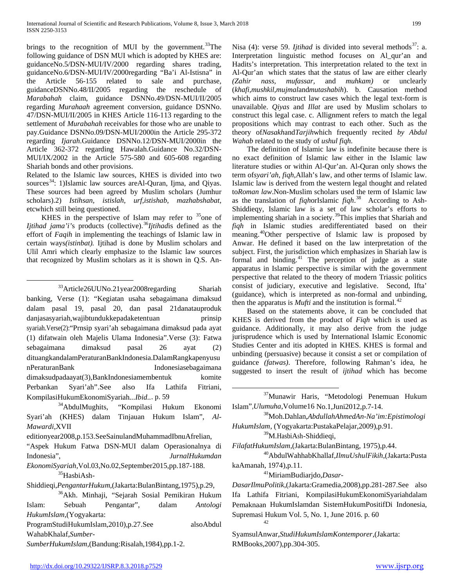brings to the recognition of MUI by the government.<sup>[33](#page-7-6)</sup>The following guidance of DSN MUI which is adopted by KHES are: guidanceNo.5/DSN-MUI/IV/2000 regarding shares trading, guidanceNo.6/DSN-MUI/IV/2000regarding "Ba'i Al-Istisna" in the Article  $56-155$  related to sale guidanceDSNNo.48/II/2005 regarding the reschedule of *Marabahah* claim, guidance DSNNo.49/DSN-MUI/II/2005 regarding *Murahaah* agreement conversion, guidance DSNNo. 47/DSN-MUI/II/2005 in KHES Article 116-113 regarding to the settlement of *Murabahah* receivables for those who are unable to pay.Guidance DSNNo.09/DSN-MUI/2000in the Article 295-372 regarding *Ijarah*.Guidance DSNNo.12/DSN-MUI/2000in the Article 362-372 regarding Hawalah.Guidance No.32/DSN-MUI/IX/2002 in the Article 575-580 and 605-608 regarding Shariah bonds and other provisions.

Related to the Islamic law sources, KHES is divided into two sources<sup>34</sup>: 1)Islamic law sources areAl-Quran, Ijma, and Qiyas. These sources had been agreed by Muslim scholars (Jumhur scholars).2) *Istihsan, istislah, urf,istishab, mazhabshabat*, etcwhich still being questioned.

KHES in the perspective of Islam may refer to  $35$  one of *Ijtihad jama'i's* products (collective).<sup>[36](#page-8-2)</sup>*Ijtihadis* defined as the effort of *Faqih* in implementing the teachings of Islamic law in certain ways*(istinbat).* Ijtihad is done by Muslim scholars and Ulil Amri which clearly emphasize to the Islamic law sources that recognized by Muslim scholars as it is shown in Q.S. An-

<sup>33</sup>Article26UUNo.21year2008regarding Shariah banking, Verse (1): "Kegiatan usaha sebagaimana dimaksud dalam pasal 19, pasal 20, dan pasal 21danatauproduk danjasasyariah,wajibtundukkepadaketentuan prinsip syariah.Verse(2):"Prnsip syari'ah sebagaimana dimaksud pada ayat (1) difatwain oleh Majelis Ulama Indonesia".Verse (3): Fatwa sebagaimana dimaksud pasal 26 ayat (2) dituangkandalamPeraturanBankIndonesia.DalamRangkapenyusu nPeraturanBank Indonesiasebagaimana dimaksudpadaayat(3),BankIndonesiamembentuk komite Perbankan Syari'ah".See also Ifa Lathifa Fitriani,

*EkonomiSyariah*,Vol.03,No.02,September2015,pp.187-188. 35HasbiAsh-

<span id="page-8-1"></span>Shiddieqi,*PengantarHukum*,(Jakarta:BulanBintang,1975),p.29,

<span id="page-8-7"></span>ProgramStudiHukumIslam,2010),p.27.See alsoAbdul WahabKhalaf,*Sumber-*

*SumberHukumIslam*,(Bandung:Risalah,1984),pp.1-2.

Nisa (4): verse 59. *Iitihad* is divided into several methods<sup>[37](#page-8-3)</sup>: a. Interpretation linguistic method focuses on Al\_qur'an and Hadits's interpretation. This interpretation related to the text in Al-Qur'an which states that the status of law are either clearly (Zahir nass, mufassar, and muhkam) or unclearly and *muhkam*) or unclearly (*khafi,mushkil,mujmal*and*mutashabih*). b. Causation method which aims to construct law cases which the legal text-form is unavailable. *Qiyas* and *Illat* are used by Muslim scholars to construct this legal case. c. Allignment refers to match the legal propositions which may contrast to each other. Such as the theory of*Nasakh*and*Tarjih*which frequently recited *by Abdul Wahab* related to the study of *ushul fiqh.*

 The definition of Islamic law is indefinite because there is no exact definition of Islamic law either in the Islamic law literature studies or within Al-Qur'an. Al-Quran only shows the term of*syari'ah*, *fiqh*,Allah's law, and other terms of Islamic law. Islamic law is derived from the western legal thought and related to*Roman law*.Non-Muslim scholars used the term of Islamic law as the translation of *fiqh*orIslamic *fiqh*. [38](#page-8-4) According to Ash-Shiddieqy, Islamic law is a set of law scholar's efforts to implementing shariah in a society.[39](#page-8-5)This implies that Shariah and *fiqh* in Islamic studies aredifferentiated based on their meaning. [40](#page-8-6)Other perspective of Islamic law is proposed by Anwar. He defined it based on the law interpretation of the subject. First, the jurisdiction which emphasizes in Shariah law is formal and binding.<sup>[41](#page-8-1)</sup> The perception of judge as a state apparatus in Islamic perspective is similar with the government perspective that related to the theory of modern Triassic politics consist of judiciary, executive and legislative. Second, Ifta' (guidance), which is interpreted as non-formal and unbinding, then the apparatus is *Mufti* and the institution is formal.<sup>[42](#page-8-7)</sup>

 Based on the statements above, it can be concluded that KHES is derived from the product of *Fiqh* which is used as guidance. Additionally, it may also derive from the judge jurisprudence which is used by International Islamic Economic Studies Center and itis adopted in KHES. KHES is formal and unbinding (persuasive) because it consist a set or compilation of guidance *(fatwas)*. Therefore, following Rahman's idea, he suggested to insert the result of *ijtihad* which has become

 37Munawir Haris, "Metodologi Penemuan Hukum Islam",*Ulumuha*,Volume16 No.1,Juni2012,p.7-14. 38Moh.Dahlan,*AbdullahAhmedAn-Na'im:Epistimologi* 

*HukumIslam*, (Yogyakarta:PustakaPelajar,2009),p.91.<br><sup>39</sup>M.HasbiAsh-Shiddieqi,

*FilafatHukumIslam*,(Jakarta:BulanBintang, 1975),p.44.

40AbdulWahhabKhallaf,*IlmuUshulFikih*,(Jakarta:Pusta

kaAmanah, 1974),p.11. 41MiriamBudiarjdo,*Dasar-*

*DasarIlmuPolitik*,(Jakarta:Gramedia,2008),pp.281-287.See also Ifa Lathifa Fitriani, KompilasiHukumEkonomiSyariahdalam Pemaknaan HukumIslamdan SistemHukumPositifDi Indonesia, Supremasi Hukum Vol. 5, No. 1, June 2016. p. 60 42

SyamsulAnwar,*StudiHukumIslamKontemporer*,(Jakarta: RMBooks,2007),pp.304-305.

<span id="page-8-8"></span><span id="page-8-4"></span><span id="page-8-3"></span><span id="page-8-0"></span>KompilasiHukumEkonomiSyariah...*Ibid.*.. p. 59<br><sup>34</sup>AbdulMughits, "Kompilasi Hukum Ekonomi Syari'ah (KHES) dalam Tinjauan Hukum Islam", *Al-Mawardi*,XVII

<span id="page-8-5"></span>editionyear2008,p.153.SeeSainulandMuhammadIbnuAfrelian,

<span id="page-8-6"></span><sup>&</sup>quot;Aspek Hukum Fatwa DSN-MUI dalam Operasionalnya di Indonesia", *JurnalHukumdan* 

<span id="page-8-2"></span><sup>36</sup>Akh. Minhaji, "Sejarah Sosial Pemikiran Hukum Islam: Sebuah Pengantar", dalam *Antologi HukumIslam*,(Yogyakarta: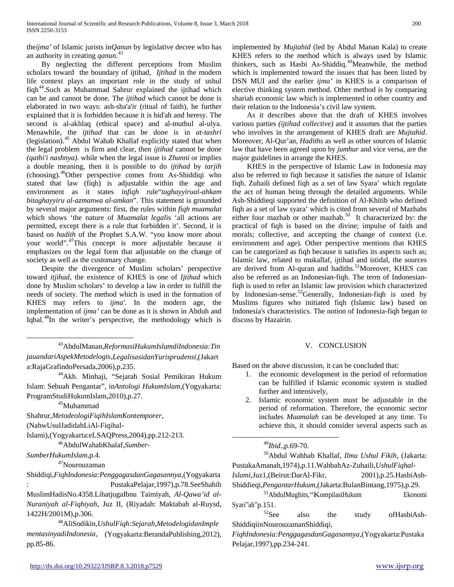the*ijma'* of Islamic jurists in*Qanun* by legislative decree who has an authority in creating *qanun*. [43](#page-8-8)

 By neglecting the different perceptions from Muslim scholars toward the boundary of ijtihad*, Ijtihad* in the modern life context plays an important role in the study of ushul fiqh<sup>[44](#page-9-0)</sup>.Such as Muhammad Sahrur explained the ijtihad which can be and cannot be done. The *ijtihad* which cannot be done is elaborated in two ways: ash-sha'a'ir (ritual of faith), he further explained that it is forbidden because it is bid'ah and heresy. The second is al-akhlaq (ethical space) and al-muthul al-ulya. Menawhile, the *ijtihad* that can be done is in *at-tashri* (legislation).[45](#page-9-1) Abdul Wahab Khallaf explicitly stated that when the legal problem is firm and clear, then *ijtihad* cannot be done *(qathi'i nashnya)*. while when the legal issue is *Zhanni* or implies a double meaning, then it is possible to do *ijtihad* by *tarjih* (choosing). [46](#page-9-2)Other perspective comes from As-Shiddiqi who stated that law (fiqh) is adjustable within the age and environment as it states in*fiqh* rule"*taghayyirual-ahkam bitaghayyiru al-azmanwa al-amkan*". This statement is grounded by several major arguments: first, the rules within *fiqh muamalat* which shows 'the nature of *Muamalat legal*is 'all actions are permitted, except there is a rule that forbidden it'. Second, it is based on *hadith* of the Prophet S.A.W. "you know more about your world". [47](#page-9-3)This concept is more adjustable because it emphasizes on the legal form that adjustable on the change of society as well as the customary change.

 Despite the divergence of Muslim scholars' perspective toward *itjihad*, the existence of KHES is one of *Ijtihad* which done by Muslim scholars' to develop a law in order to fulfill the needs of society. The method which is used in the formation of KHES may refers to *ijma'*. In the modern age, the implementation of *ijma'* can be done as it is shown in Abduh and Iqbal.<sup>[48](#page-9-4)</sup>In the writer's perspective, the methodology which is

 43AbdulManan,*ReformasiHukumIslamdiIndonesia:Tin jauandariAspekMetodelogis*,*LegalisasidanYurisprudensi*,(Jakart a:RajaGrafindoPersada,2006),p.235. 44Akh. Minhaji, "Sejarah Sosial Pemikiran Hukum

<span id="page-9-0"></span>Islam: Sebuah Pengantar", in*Antologi HukumIslam*,(Yogyakarta: ProgramStudiHukumIslam,2010),p.27.<br><sup>45</sup>Muhammad

<span id="page-9-1"></span>Shahrur,*MetodeologiFiqihIslamKontemporer*,

(NahwUsulJadidahLiAl-Fiqihal-

<span id="page-9-5"></span><span id="page-9-2"></span>Islami),(Yogyakarta:eLSAQPress,2004),pp.212-213.<br><sup>46</sup>AbdulWahabKhalaf,*Sumber*-

<span id="page-9-6"></span><span id="page-9-3"></span>*SumberHukumIslam*,p.4.

47Nourouzaman

<span id="page-9-7"></span>Shiddiqi,*FiqhIndonesia:PenggagasdanGagasannya*,(Yogyakarta : PustakaPelajar,1997),p.78.SeeShahih MuslimHadisNo.4358.LihatjugaIbnu Taimiyah, *Al-Qawa'id al-Nuraniyah al-Fiqhiyah*, Juz II, (Riyadah: Maktabah al-Ruysd, 1422H/2001M),p.306. 48AliSodikin,*UshulFiqh:Sejarah,MetodelogidanImple*

<span id="page-9-8"></span><span id="page-9-4"></span>*mentasinyadiIndonesia*, (Yogyakarta:BerandaPublishing,2012), pp.85-86.

implemented by *Mujtahid* (led by Abdul Manan Kala) to create KHES refers to the method which is always used by Islamic thinkers, such as Hasbi As-Shiddiq.<sup>[49](#page-9-5)</sup>Meanwhile, the method which is implemented toward the issues that has been listed by DSN MUI and the earlier *ijma'* in KHES is a comparison of elective thinking system method. Other method is by comparing shariah economic law which is implemented in other country and their relation to the Indonesia's civil law system.

 As it describes above that the draft of KHES involves various parties *(ijtihad collective)* and it assumes that the parties who involves in the arrangement of KHES draft are *Mujtahid*. Moreover, Al-Qur'an, *Hadiths* as well as other sources of Islamic law that have been agreed upon by *jumhur* and vice versa, are the major guidelines in arrange the KHES.

 KHES in the perspective of Islamic Law in Indonesia may also be referred to fiqh because it satisfies the nature of Islamic fiqh. Zuhaili defined fiqh as a set of law Syara' which regulate the act of human being through the detailed arguments. While Ash-Shiddieqi supported the definition of Al-Khitib who defined fiqh as a set of law syara' which is cited from several of Mazhabs either four mazhab or other mazhab.<sup>[50](#page-9-6)</sup> It characterized by: the practical of fiqh is based on the divine; impulse of faith and morals; collective, and accepting the change of context (i.e. environment and age). Other perspective mentions that KHES can be categorized as fiqh because it satisfies its aspects such as; Islamic law, related to mukallaf, ijtihad and istidal, the sources are derived from Al-quran and hadiths.<sup>[51](#page-9-7)</sup>Moreover, KHES can also be referred as an Indonesian-fiqh. The term of Indonesianfiqh is used to refer an Islamic law provision which characterized by Indonesian-sense.<sup>[52](#page-9-8)</sup>Generally, Indonesian-fiqh is used by Muslims figures who initiated fiqh (Islamic law) based on Indonesia's characteristics. The notion of Indonesia-fiqh began to discuss by Hazairin.

#### V. CONCLUSION

Based on the above discussion, it can be concluded that:

- 1. the economic development in the period of reformation can be fulfilled if Islamic economic system is studied further and intensively,
- 2. Islamic economic system must be adjustable in the period of reformation. Therefore, the economic sector includes *Muamalah* can be developed at any time. To achieve this, it should consider several aspects such as

49*Ibid*.,p.69-70.

50Abdul Wahhab Khallaf, *Ilmu Ushul Fikih*, (Jakarta: PustakaAmanah,1974),p.11.WahbahAz-Zuhaili,*UshulFiqhal-*

*Islami*,Juz1,(Beirut:DarAl-Fikr, 2001),p.25.HasbiAsh-

Shiddieqi,*PengantarHukum*,(Jakarta:BulanBintang,1975),p.29.<br><sup>51</sup>AbdulMughits, KompilasiHukum Ekonomi

Syari<sup>"</sup>ah"p.151.<br><sup>52</sup>See also the study ofHasbiAsh-ShiddiqiinNourouzamanShiddiqi,

*FiqhIndonesia:PenggagasdanGagasannya*,(Yogyakarta:Pustaka Pelajar,1997),pp.234-241.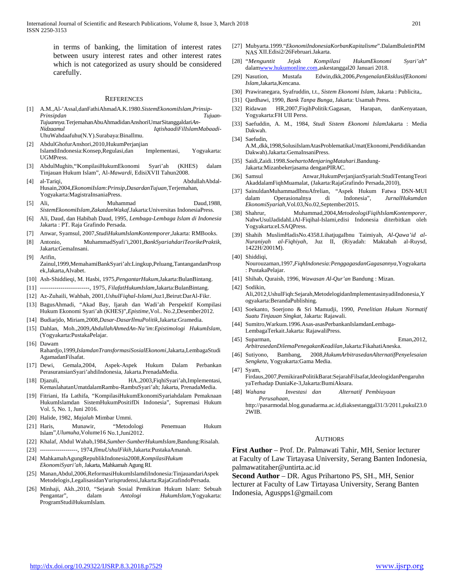in terms of banking, the limitation of interest rates between usury interest rates and other interest rates which is not categorized as usury should be considered carefully.

#### **REFERENCES**

[1] A.M.,Al-'Assal,danFathiAhmadA.K.1980.*SistemEkonomiIslam,Prinsip-Prinsipdan Tujuan-Tujuannya.*TerjemahanAbuAhmadidanAnshoriUmarSitanggaldari*An-Nidzaamul IqtishaadiFilIslamMabaadi*-UhuWahdaafuhu(N.Y).Surabaya:BinaIlmu.

[2] AbdulGhofurAnshori,2010,HukumPerjanjian

- IslamdiIndonesia:Konsep,Regulasi,dan Implementasi, Yogyakarta: UGMPress.
- [3] AbdulMughits,"KompilasiHukumEkonomi Syari'ah (KHES) dalam Tinjauan Hukum Islam", Al-*Mawardi*, EdisiXVII Tahun2008.
- [4] al-Tariqi, AbdullahAbdal-Husain,2004,*EkonomiIslam:Prinsip,DasardanTujuan,*Terjemahan, Yogyakarta:MagistraInsaniaPress.
- [5] Ali, Muhammad Daud,1988, *SistemEkonomiIslam,ZakatdanWakaf*.Jakarta:Universitas IndonesiaPress.
- [6] Ali, Daud, dan Habibah Daud, 1995, *Lembaga-Lembaga Islam di Indonesia* Jakarta : PT. Raja Grafindo Persada.
- [7] Anwar, Syamsul, 2007,*StudiHukumIslamKontemporer*,Jakarta: RMBooks.
- [8] Antonio, MuhammadSyafi'i,2001,*BankSyariahdariTeorikePraktik,*  Jakarta:GemaInsani.
- [9] Arifin, Zainul,1999,MemahamiBankSyari'ah:Lingkup,Peluang,TantangandanProsp ek,Jakarta,Alvabet.
- [10] Ash-Shiddieqi, M. Hasbi, 1975,*PengantarHukum*,Jakarta:BulanBintang.
- [11] ------------------------, 1975, *FilafatHukumIslam*,Jakarta:BulanBintang.
- [12] Az-Zuhaili, Wahbah, 2001,*UshulFiqhal-Islami*,Juz1,Beirut:DarAl-Fikr.
- [13] BagusAhmadi, "Akad Bay, Ijarah dan Wadi'ah Perspektif Kompilasi Hukum Ekonomi Syari'ah (KHES)",*Epistime*,Vol.. No.2,Desember2012.
- [14] Budiarjdo, Miriam,2008,*Dasar-DasarIlmuPolitik*,Jakarta:Gramedia.
- [15] Dahlan, Moh.,2009,*AbdullahAhmedAn-Na'im:Epistimologi HukumIslam*, (Yogyakarta:PustakaPelajar.
- [16] Dawam Rahardjo,1999,*IslamdanTransformasiSosialEkonomi*,Jakarta,LembagaStudi AgamadanFilsafat.
- [17] Dewi, Gemala,2004, Aspek-Aspek Hukum Dalam Perbankan PerasuransianSyari'ahdiIndonesia, Jakarta.PrenadaMedia.
- [18] Djazuli, HA.,2003,FiqhiSyari'ah,Implementasi, KemaslahatanUmatdalamRambu-RambuSyari'ah; Jakarta, PrenadaMedia.
- [19] Fitriani, Ifa Lathifa, "KompilasiHukumEkonomiSyariahdalam Pemaknaan HukumIslamdan SistemHukumPositifDi Indonesia", Supremasi Hukum Vol. 5, No. 1, Juni 2016.
- [20] Halide, 1982, *Majalah* Mimbar Ummi.
- [21] Haris, Munawir, "Metodologi Penemuan Hukum Islam",*Ulumuha*,Volume16 No.1,Juni2012.
- [22] Khalaf, Abdul Wahab,1984,*Sumber-SumberHukumIslam*,Bandung:Risalah.
- [23] -------------------, 1974,*IlmuUshulFikih*,Jakarta:PustakaAmanah.
- [24] MahkamahAgungRepublikIndonesia2008,*KompilasiHukum EkonomiSyari'ah*, Jakarta, Mahkamah Agung RI.
- [25] Manan,Abdul,2006,ReformasiHukumIslamdiIndonesia:TinjauandariAspek Metodelogis,LegalisasidanYurisprudensi,Jakarta:RajaGrafindoPersada.
- [26] Minhaji, Akh.,2010, "Sejarah Sosial Pemikiran Hukum Islam: Sebuah Pengantar", dalam *Antologi HukumIslam*,Yogyakarta: ProgramStudiHukumIslam.
- [27] Mubyarta.1999."*EkonomiIndonesiaKorbanKapitalisme*".DalamBuletinPIM NAS XII.Edisi2/26Februari.Jakarta.
- [28] "*Menguntit Jejak Kompilasi HukumEkonomi Syari'ah*" dala[mwww.hukumonline.com,a](http://www.hukumonline.com/)skestanggal20 Januari 2018.
- [29] Nasution, Mustafa Edwin,dkk,2006,*PengenalanEksklusifEkonomi Islam*,Jakarta,Kencana.
- [30] Prawiranegara, Syafruddin, t.t., *Sistem Ekonomi Islam*, Jakarta : Publicita,.
- [31] Qardhawi, 1990, *Bank Tanpa Bunga*, Jakarta: Usamah Press.
- [32] Ridawan HR,2007,FiqihPolitik:Gagasan, Harapan, danKenyataan, Yogyakarta:FH UII Perss.
- [33] Saefuddin, A. M., 1984, *Studi Sistem Ekonomi Islam*Jakarta : Media Dakwah.
- [34] Saefudin, A.M.,dkk,1998,SolusiIslamAtasProblematikaUmat(Ekonomi,Pendidikandan Dakwah).Jakarta:GemaInsaniPress.
- [35] Saidi,Zaidi.1998.*SoehartoMenjaringMatahari*.Bandung-Jakarta:Mizanbekerjasama denganPIRAC.
- [36] Samsul Anwar,HukumPerjanjianSyariah:StudiTentangTeori AkaddalamFiqhMuamalat, (Jakarta:RajaGrafindo Persada,2010),
- [37] SainuldanMuhammadIbnuAfrelian, "Aspek Hukum Fatwa DSN-MUI dalam Operasionalnya di Indonesia", *JurnalHukumdan EkonomiSyariah*,Vol.03,No.02,September2015.
- [38] Shahrur, Muhammad,2004,*MetodeologiFiqihIslamKontemporer*, NahwUsulJadidahLiAl-Fiqihal-Islami,edisi Indonesia diterbitkan oleh Yogyakarta:eLSAQPress.
- [39] Shahih MuslimHadisNo.4358.LihatjugaIbnu Taimiyah, *Al-Qawa'id al-Nuraniyah al-Fiqhiyah*, Juz II, (Riyadah: Maktabah al-Ruysd, 1422H/2001M).
- [40] Shiddiqi,
- Nourouzaman,1997,*FiqhIndonesia:PenggagasdanGagasannya*,Yogyakarta : PustakaPelajar.
- [41] Shihab, Quraish, 1996, *Wawasan Al-Qur'an* Bandung : Mizan.
- [42] Sodikin,

2WIB.

Ali,2012,UshulFiqh:Sejarah,MetodelogidanImplementasinyadiIndonesia,Y ogyakarta:BerandaPublishing.

- [43] Soekanto, Soerjono & Sri Mamudji, 1990, *Penelitian Hukum Normatif Suatu Tinjauan Singkat*, Jakarta: Rajawali.
- [44] Sumitro,Warkum.1996.Asas-asasPerbankanIslamdanLembaga-LembagaTerkait.Jakarta: RajawaliPress.
- [45] Suparman, Eman,2012, *ArbitrasedanDilemaPenegakanKeadilan*,Jakarta:FikahatiAneska.
- [46] Sutiyono, Bambang, 2008,*HukumArbitrasedanAlternatifPenyelesaian Sengketa*, Yogyakarta:Gama Media.
- [47] Svam, Firdaus,2007,PemikiranPolitikBarat:SejarahFilsafat,IdeologidanPengaruhn yaTerhadap DuniaKe-3,Jakarta:BumiAksara.
- [48] *Wahana Investasi dan Alternatif Pembiayaan Perusahaan*, [http://pasarmodal.blog.gunadarma.ac.id,d](http://pasarmodal.blog.gunadarma.ac.id/)iaksestanggal31/3/2011,pukul23.0

#### **AUTHORS**

**First Author** – Prof. Dr. Palmawati Tahir, MH, Senior lecturer at Faculty of Law Tirtayasa University, Serang Banten Indonesia, palmawatitaher@untirta.ac.id

**Second Author** – DR. Agus Prihartono PS, SH., MH, Senior lecturer at Faculty of Law Tirtayasa University, Serang Banten Indonesia, Aguspps1@gmail.com